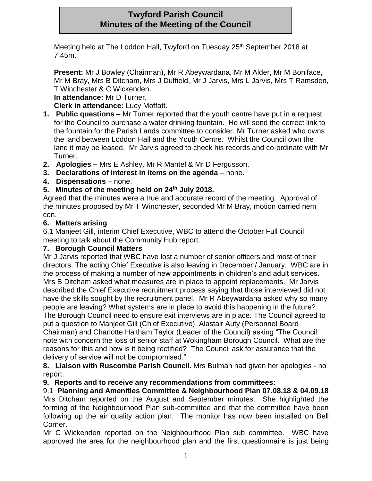# **Twyford Parish Council Minutes of the Meeting of the Council**

Meeting held at The Loddon Hall, Twyford on Tuesday 25<sup>th</sup> September 2018 at 7.45m.

**Present:** Mr J Bowley (Chairman), Mr R Abeywardana, Mr M Alder, Mr M Boniface, Mr M Bray, Mrs B Ditcham, Mrs J Duffield, Mr J Jarvis, Mrs L Jarvis, Mrs T Ramsden, T Winchester & C Wickenden.

**In attendance:** Mr D Turner.

**Clerk in attendance:** Lucy Moffatt.

- **1. Public questions –** Mr Turner reported that the youth centre have put in a request for the Council to purchase a water drinking fountain. He will send the correct link to the fountain for the Parish Lands committee to consider. Mr Turner asked who owns the land between Loddon Hall and the Youth Centre. Whilst the Council own the land it may be leased. Mr Jarvis agreed to check his records and co-ordinate with Mr Turner.
- **2. Apologies –** Mrs E Ashley, Mr R Mantel & Mr D Fergusson.
- **3. Declarations of interest in items on the agenda** none.
- **4. Dispensations** none.

# **5. Minutes of the meeting held on 24th July 2018.**

Agreed that the minutes were a true and accurate record of the meeting. Approval of the minutes proposed by Mr T Winchester, seconded Mr M Bray, motion carried nem con.

## **6. Matters arising**

6.1 Manjeet Gill, interim Chief Executive, WBC to attend the October Full Council meeting to talk about the Community Hub report.

## **7. Borough Council Matters**

Mr J Jarvis reported that WBC have lost a number of senior officers and most of their directors. The acting Chief Executive is also leaving in December / January. WBC are in the process of making a number of new appointments in children's and adult services. Mrs B Ditcham asked what measures are in place to appoint replacements. Mr Jarvis described the Chief Executive recruitment process saying that those interviewed did not have the skills sought by the recruitment panel. Mr R Abeywardana asked why so many people are leaving? What systems are in place to avoid this happening in the future? The Borough Council need to ensure exit interviews are in place. The Council agreed to put a question to Manjeet Gill (Chief Executive), Alastair Auty (Personnel Board Chairman) and Charlotte Haitham Taylor (Leader of the Council) asking "The Council note with concern the loss of senior staff at Wokingham Borough Council. What are the reasons for this and how is it being rectified? The Council ask for assurance that the delivery of service will not be compromised."

**8. Liaison with Ruscombe Parish Council.** Mrs Bulman had given her apologies - no report.

## **9. Reports and to receive any recommendations from committees:**

9.1 **Planning and Amenities Committee & Neighbourhood Plan 07.08.18 & 04.09.18** Mrs Ditcham reported on the August and September minutes. She highlighted the forming of the Neighbourhood Plan sub-committee and that the committee have been following up the air quality action plan. The monitor has now been installed on Bell Corner.

Mr C Wickenden reported on the Neighbourhood Plan sub committee. WBC have approved the area for the neighbourhood plan and the first questionnaire is just being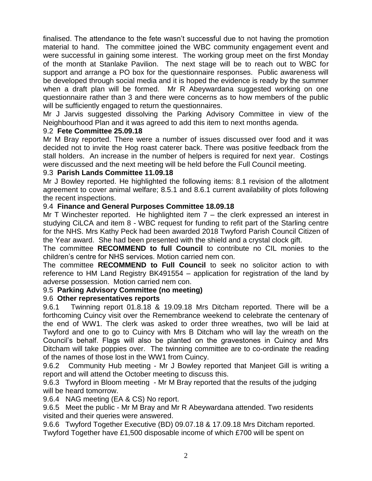finalised. The attendance to the fete wasn't successful due to not having the promotion material to hand. The committee joined the WBC community engagement event and were successful in gaining some interest. The working group meet on the first Monday of the month at Stanlake Pavilion. The next stage will be to reach out to WBC for support and arrange a PO box for the questionnaire responses. Public awareness will be developed through social media and it is hoped the evidence is ready by the summer when a draft plan will be formed. Mr R Abeywardana suggested working on one questionnaire rather than 3 and there were concerns as to how members of the public will be sufficiently engaged to return the questionnaires.

Mr J Jarvis suggested dissolving the Parking Advisory Committee in view of the Neighbourhood Plan and it was agreed to add this item to next months agenda.

#### 9.2 **Fete Committee 25.09.18**

Mr M Bray reported. There were a number of issues discussed over food and it was decided not to invite the Hog roast caterer back. There was positive feedback from the stall holders. An increase in the number of helpers is required for next year. Costings were discussed and the next meeting will be held before the Full Council meeting.

#### 9.3 **Parish Lands Committee 11.09.18**

Mr J Bowley reported. He highlighted the following items: 8.1 revision of the allotment agreement to cover animal welfare; 8.5.1 and 8.6.1 current availability of plots following the recent inspections.

#### 9.4 **Finance and General Purposes Committee 18.09.18**

Mr T Winchester reported. He highlighted item  $7 -$  the clerk expressed an interest in studying CiLCA and item 8 - WBC request for funding to refit part of the Starling centre for the NHS. Mrs Kathy Peck had been awarded 2018 Twyford Parish Council Citizen of the Year award. She had been presented with the shield and a crystal clock gift.

The committee **RECOMMEND to full Council** to contribute no CIL monies to the children's centre for NHS services. Motion carried nem con.

The committee **RECOMMEND to Full Council** to seek no solicitor action to with reference to HM Land Registry BK491554 – application for registration of the land by adverse possession. Motion carried nem con.

#### 9.5 **Parking Advisory Committee (no meeting)**

#### 9.6 **Other representatives reports**

9.6.1 Twinning report 01.8.18 & 19.09.18 Mrs Ditcham reported. There will be a forthcoming Cuincy visit over the Remembrance weekend to celebrate the centenary of the end of WW1. The clerk was asked to order three wreathes, two will be laid at Twyford and one to go to Cuincy with Mrs B Ditcham who will lay the wreath on the Council's behalf. Flags will also be planted on the gravestones in Cuincy and Mrs Ditcham will take poppies over. The twinning committee are to co-ordinate the reading of the names of those lost in the WW1 from Cuincy.

9.6.2 Community Hub meeting - Mr J Bowley reported that Manjeet Gill is writing a report and will attend the October meeting to discuss this.

9.6.3 Twyford in Bloom meeting - Mr M Bray reported that the results of the judging will be heard tomorrow.

9.6.4 NAG meeting (EA & CS) No report.

9.6.5 Meet the public - Mr M Bray and Mr R Abeywardana attended. Two residents visited and their queries were answered.

9.6.6 Twyford Together Executive (BD) 09.07.18 & 17.09.18 Mrs Ditcham reported. Twyford Together have £1,500 disposable income of which £700 will be spent on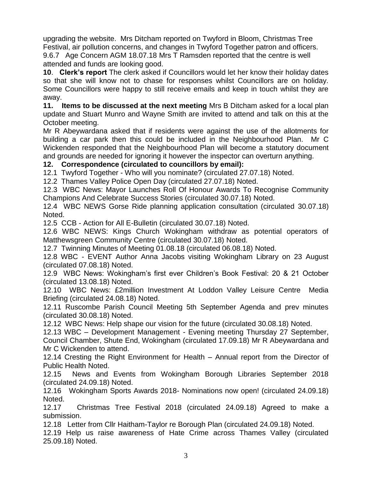upgrading the website. Mrs Ditcham reported on Twyford in Bloom, Christmas Tree Festival, air pollution concerns, and changes in Twyford Together patron and officers. 9.6.7 Age Concern AGM 18.07.18 Mrs T Ramsden reported that the centre is well attended and funds are looking good.

**10**. **Clerk's report** The clerk asked if Councillors would let her know their holiday dates so that she will know not to chase for responses whilst Councillors are on holiday. Some Councillors were happy to still receive emails and keep in touch whilst they are away.

**11. Items to be discussed at the next meeting** Mrs B Ditcham asked for a local plan update and Stuart Munro and Wayne Smith are invited to attend and talk on this at the October meeting.

Mr R Abeywardana asked that if residents were against the use of the allotments for building a car park then this could be included in the Neighbourhood Plan. Mr C Wickenden responded that the Neighbourhood Plan will become a statutory document and grounds are needed for ignoring it however the inspector can overturn anything.

## **12. Correspondence (circulated to councillors by email):**

12.1 Twyford Together - Who will you nominate? (circulated 27.07.18) Noted.

12.2 Thames Valley Police Open Day (circulated 27.07.18) Noted.

12.3 WBC News: Mayor Launches Roll Of Honour Awards To Recognise Community Champions And Celebrate Success Stories (circulated 30.07.18) Noted.

12.4 WBC NEWS Gorse Ride planning application consultation (circulated 30.07.18) Noted.

12.5 CCB - Action for All E-Bulletin (circulated 30.07.18) Noted.

12.6 WBC NEWS: Kings Church Wokingham withdraw as potential operators of Matthewsgreen Community Centre (circulated 30.07.18) Noted.

12.7 Twinning Minutes of Meeting 01.08.18 (circulated 06.08.18) Noted.

12.8 WBC - EVENT Author Anna Jacobs visiting Wokingham Library on 23 August (circulated 07.08.18) Noted.

12.9 WBC News: Wokingham's first ever Children's Book Festival: 20 & 21 October (circulated 13.08.18) Noted.

12.10 WBC News: £2million Investment At Loddon Valley Leisure Centre Media Briefing (circulated 24.08.18) Noted.

12.11 Ruscombe Parish Council Meeting 5th September Agenda and prev minutes (circulated 30.08.18) Noted.

12.12 WBC News: Help shape our vision for the future (circulated 30.08.18) Noted.

12.13 WBC – Development Management - Evening meeting Thursday 27 September, Council Chamber, Shute End, Wokingham (circulated 17.09.18) Mr R Abeywardana and Mr C Wickenden to attend.

12.14 Cresting the Right Environment for Health – Annual report from the Director of Public Health Noted.

12.15 News and Events from Wokingham Borough Libraries September 2018 (circulated 24.09.18) Noted.

12.16 Wokingham Sports Awards 2018- Nominations now open! (circulated 24.09.18) Noted.

12.17 Christmas Tree Festival 2018 (circulated 24.09.18) Agreed to make a submission.

12.18 Letter from Cllr Haitham-Taylor re Borough Plan (circulated 24.09.18) Noted.

12.19 Help us raise awareness of Hate Crime across Thames Valley (circulated 25.09.18) Noted.